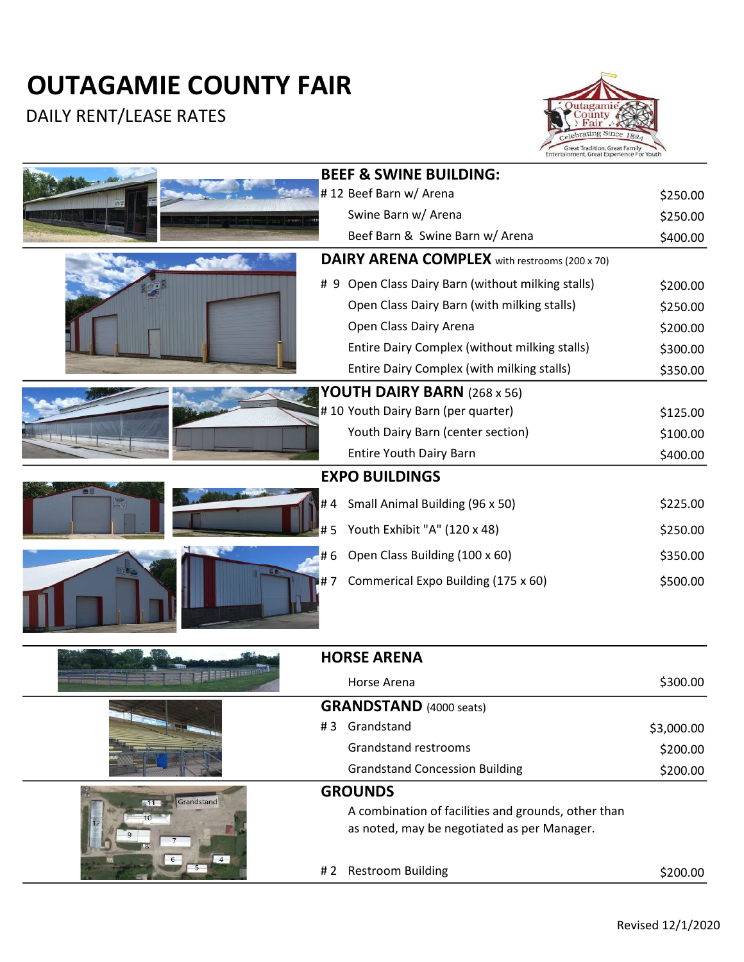## OUTAGAMIE COUNTY FAIR

DAILY RENT/LEASE RATES



|            |     | Entertainment, Great Experience For Touth            |            |
|------------|-----|------------------------------------------------------|------------|
|            |     | <b>BEEF &amp; SWINE BUILDING:</b>                    |            |
|            |     | #12 Beef Barn w/ Arena                               | \$250.00   |
|            |     | Swine Barn w/ Arena                                  | \$250.00   |
|            |     | Beef Barn & Swine Barn w/ Arena                      | \$400.00   |
|            |     | <b>DAIRY ARENA COMPLEX</b> with restrooms (200 x 70) |            |
|            |     | # 9 Open Class Dairy Barn (without milking stalls)   | \$200.00   |
|            |     | Open Class Dairy Barn (with milking stalls)          | \$250.00   |
|            |     | Open Class Dairy Arena                               | \$200.00   |
|            |     | Entire Dairy Complex (without milking stalls)        | \$300.00   |
|            |     | Entire Dairy Complex (with milking stalls)           | \$350.00   |
|            |     | YOUTH DAIRY BARN (268 x 56)                          |            |
|            |     | #10 Youth Dairy Barn (per quarter)                   | \$125.00   |
|            |     | Youth Dairy Barn (center section)                    | \$100.00   |
|            |     | <b>Entire Youth Dairy Barn</b>                       | \$400.00   |
|            |     | <b>EXPO BUILDINGS</b>                                |            |
| ٣Ħ         | #4  | Small Animal Building (96 x 50)                      | \$225.00   |
|            | #5  | Youth Exhibit "A" (120 x 48)                         | \$250.00   |
|            | #6  | Open Class Building (100 x 60)                       | \$350.00   |
|            | #7  | Commerical Expo Building (175 x 60)                  | \$500.00   |
|            |     | <b>HORSE ARENA</b>                                   |            |
|            |     | Horse Arena                                          | \$300.00   |
|            |     | <b>GRANDSTAND</b> (4000 seats)                       |            |
|            |     | #3 Grandstand                                        | \$3,000.00 |
|            |     | Grandstand restrooms                                 | \$200.00   |
|            |     | <b>Grandstand Concession Building</b>                | \$200.00   |
| Grandstand |     | <b>GROUNDS</b>                                       |            |
| 11         |     | A combination of facilities and grounds, other than  |            |
|            |     | as noted, may be negotiated as per Manager.          |            |
|            | # 2 | <b>Restroom Building</b>                             | \$200.00   |